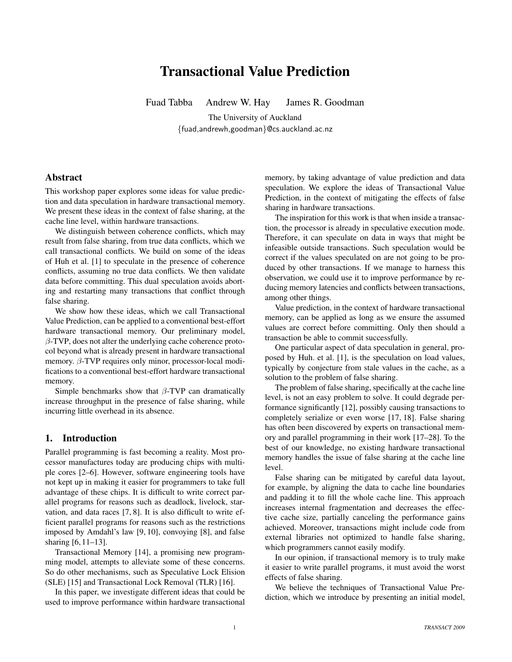# Transactional Value Prediction

Fuad Tabba Andrew W. Hay James R. Goodman

The University of Auckland {fuad,andrewh,goodman}@cs.auckland.ac.nz

## Abstract

This workshop paper explores some ideas for value prediction and data speculation in hardware transactional memory. We present these ideas in the context of false sharing, at the cache line level, within hardware transactions.

We distinguish between coherence conflicts, which may result from false sharing, from true data conflicts, which we call transactional conflicts. We build on some of the ideas of Huh et al. [1] to speculate in the presence of coherence conflicts, assuming no true data conflicts. We then validate data before committing. This dual speculation avoids aborting and restarting many transactions that conflict through false sharing.

We show how these ideas, which we call Transactional Value Prediction, can be applied to a conventional best-effort hardware transactional memory. Our preliminary model,  $\beta$ -TVP, does not alter the underlying cache coherence protocol beyond what is already present in hardware transactional memory. β-TVP requires only minor, processor-local modifications to a conventional best-effort hardware transactional memory.

Simple benchmarks show that  $\beta$ -TVP can dramatically increase throughput in the presence of false sharing, while incurring little overhead in its absence.

# 1. Introduction

Parallel programming is fast becoming a reality. Most processor manufactures today are producing chips with multiple cores [2–6]. However, software engineering tools have not kept up in making it easier for programmers to take full advantage of these chips. It is difficult to write correct parallel programs for reasons such as deadlock, livelock, starvation, and data races [7, 8]. It is also difficult to write efficient parallel programs for reasons such as the restrictions imposed by Amdahl's law [9, 10], convoying [8], and false sharing [6, 11–13].

Transactional Memory [14], a promising new programming model, attempts to alleviate some of these concerns. So do other mechanisms, such as Speculative Lock Elision (SLE) [15] and Transactional Lock Removal (TLR) [16].

In this paper, we investigate different ideas that could be used to improve performance within hardware transactional

memory, by taking advantage of value prediction and data speculation. We explore the ideas of Transactional Value Prediction, in the context of mitigating the effects of false sharing in hardware transactions.

The inspiration for this work is that when inside a transaction, the processor is already in speculative execution mode. Therefore, it can speculate on data in ways that might be infeasible outside transactions. Such speculation would be correct if the values speculated on are not going to be produced by other transactions. If we manage to harness this observation, we could use it to improve performance by reducing memory latencies and conflicts between transactions, among other things.

Value prediction, in the context of hardware transactional memory, can be applied as long as we ensure the assumed values are correct before committing. Only then should a transaction be able to commit successfully.

One particular aspect of data speculation in general, proposed by Huh. et al. [1], is the speculation on load values, typically by conjecture from stale values in the cache, as a solution to the problem of false sharing.

The problem of false sharing, specifically at the cache line level, is not an easy problem to solve. It could degrade performance significantly [12], possibly causing transactions to completely serialize or even worse [17, 18]. False sharing has often been discovered by experts on transactional memory and parallel programming in their work [17–28]. To the best of our knowledge, no existing hardware transactional memory handles the issue of false sharing at the cache line level.

False sharing can be mitigated by careful data layout, for example, by aligning the data to cache line boundaries and padding it to fill the whole cache line. This approach increases internal fragmentation and decreases the effective cache size, partially canceling the performance gains achieved. Moreover, transactions might include code from external libraries not optimized to handle false sharing, which programmers cannot easily modify.

In our opinion, if transactional memory is to truly make it easier to write parallel programs, it must avoid the worst effects of false sharing.

We believe the techniques of Transactional Value Prediction, which we introduce by presenting an initial model,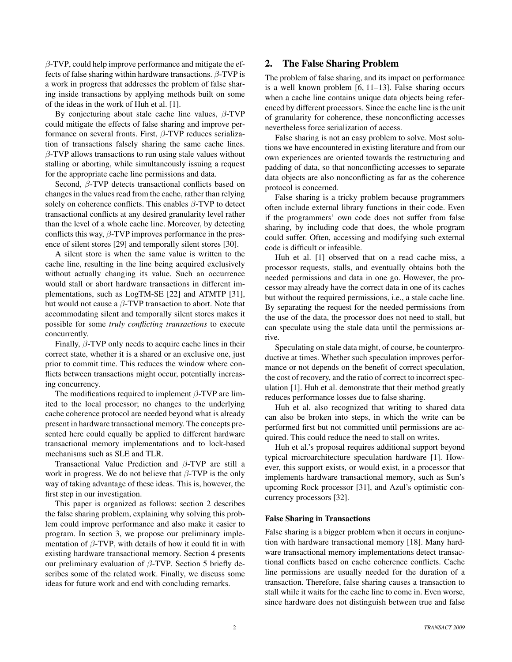$\beta$ -TVP, could help improve performance and mitigate the effects of false sharing within hardware transactions.  $\beta$ -TVP is a work in progress that addresses the problem of false sharing inside transactions by applying methods built on some of the ideas in the work of Huh et al. [1].

By conjecturing about stale cache line values,  $\beta$ -TVP could mitigate the effects of false sharing and improve performance on several fronts. First,  $\beta$ -TVP reduces serialization of transactions falsely sharing the same cache lines.  $\beta$ -TVP allows transactions to run using stale values without stalling or aborting, while simultaneously issuing a request for the appropriate cache line permissions and data.

Second, β-TVP detects transactional conflicts based on changes in the values read from the cache, rather than relying solely on coherence conflicts. This enables  $\beta$ -TVP to detect transactional conflicts at any desired granularity level rather than the level of a whole cache line. Moreover, by detecting conflicts this way,  $\beta$ -TVP improves performance in the presence of silent stores [29] and temporally silent stores [30].

A silent store is when the same value is written to the cache line, resulting in the line being acquired exclusively without actually changing its value. Such an occurrence would stall or abort hardware transactions in different implementations, such as LogTM-SE [22] and ATMTP [31], but would not cause a  $\beta$ -TVP transaction to abort. Note that accommodating silent and temporally silent stores makes it possible for some *truly conflicting transactions* to execute concurrently.

Finally,  $\beta$ -TVP only needs to acquire cache lines in their correct state, whether it is a shared or an exclusive one, just prior to commit time. This reduces the window where conflicts between transactions might occur, potentially increasing concurrency.

The modifications required to implement  $\beta$ -TVP are limited to the local processor; no changes to the underlying cache coherence protocol are needed beyond what is already present in hardware transactional memory. The concepts presented here could equally be applied to different hardware transactional memory implementations and to lock-based mechanisms such as SLE and TLR.

Transactional Value Prediction and β-TVP are still a work in progress. We do not believe that  $\beta$ -TVP is the only way of taking advantage of these ideas. This is, however, the first step in our investigation.

This paper is organized as follows: section 2 describes the false sharing problem, explaining why solving this problem could improve performance and also make it easier to program. In section 3, we propose our preliminary implementation of  $\beta$ -TVP, with details of how it could fit in with existing hardware transactional memory. Section 4 presents our preliminary evaluation of  $\beta$ -TVP. Section 5 briefly describes some of the related work. Finally, we discuss some ideas for future work and end with concluding remarks.

# 2. The False Sharing Problem

The problem of false sharing, and its impact on performance is a well known problem [6, 11–13]. False sharing occurs when a cache line contains unique data objects being referenced by different processors. Since the cache line is the unit of granularity for coherence, these nonconflicting accesses nevertheless force serialization of access.

False sharing is not an easy problem to solve. Most solutions we have encountered in existing literature and from our own experiences are oriented towards the restructuring and padding of data, so that nonconflicting accesses to separate data objects are also nonconflicting as far as the coherence protocol is concerned.

False sharing is a tricky problem because programmers often include external library functions in their code. Even if the programmers' own code does not suffer from false sharing, by including code that does, the whole program could suffer. Often, accessing and modifying such external code is difficult or infeasible.

Huh et al. [1] observed that on a read cache miss, a processor requests, stalls, and eventually obtains both the needed permissions and data in one go. However, the processor may already have the correct data in one of its caches but without the required permissions, i.e., a stale cache line. By separating the request for the needed permissions from the use of the data, the processor does not need to stall, but can speculate using the stale data until the permissions arrive.

Speculating on stale data might, of course, be counterproductive at times. Whether such speculation improves performance or not depends on the benefit of correct speculation, the cost of recovery, and the ratio of correct to incorrect speculation [1]. Huh et al. demonstrate that their method greatly reduces performance losses due to false sharing.

Huh et al. also recognized that writing to shared data can also be broken into steps, in which the write can be performed first but not committed until permissions are acquired. This could reduce the need to stall on writes.

Huh et al.'s proposal requires additional support beyond typical microarchitecture speculation hardware [1]. However, this support exists, or would exist, in a processor that implements hardware transactional memory, such as Sun's upcoming Rock processor [31], and Azul's optimistic concurrency processors [32].

#### False Sharing in Transactions

False sharing is a bigger problem when it occurs in conjunction with hardware transactional memory [18]. Many hardware transactional memory implementations detect transactional conflicts based on cache coherence conflicts. Cache line permissions are usually needed for the duration of a transaction. Therefore, false sharing causes a transaction to stall while it waits for the cache line to come in. Even worse, since hardware does not distinguish between true and false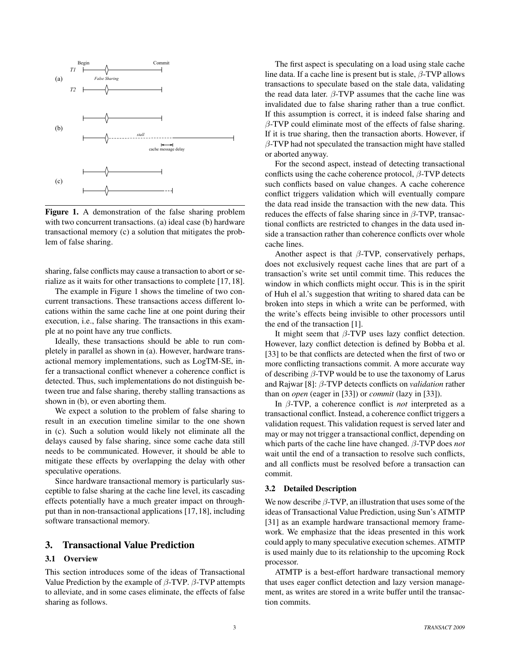

Figure 1. A demonstration of the false sharing problem with two concurrent transactions. (a) ideal case (b) hardware transactional memory (c) a solution that mitigates the problem of false sharing.

sharing, false conflicts may cause a transaction to abort or serialize as it waits for other transactions to complete [17, 18].

The example in Figure 1 shows the timeline of two concurrent transactions. These transactions access different locations within the same cache line at one point during their execution, i.e., false sharing. The transactions in this example at no point have any true conflicts.

Ideally, these transactions should be able to run completely in parallel as shown in (a). However, hardware transactional memory implementations, such as LogTM-SE, infer a transactional conflict whenever a coherence conflict is detected. Thus, such implementations do not distinguish between true and false sharing, thereby stalling transactions as shown in (b), or even aborting them.

We expect a solution to the problem of false sharing to result in an execution timeline similar to the one shown in (c). Such a solution would likely not eliminate all the delays caused by false sharing, since some cache data still needs to be communicated. However, it should be able to mitigate these effects by overlapping the delay with other speculative operations.

Since hardware transactional memory is particularly susceptible to false sharing at the cache line level, its cascading effects potentially have a much greater impact on throughput than in non-transactional applications [17, 18], including software transactional memory.

# 3. Transactional Value Prediction

#### 3.1 Overview

This section introduces some of the ideas of Transactional Value Prediction by the example of  $β$ -TVP.  $β$ -TVP attempts to alleviate, and in some cases eliminate, the effects of false sharing as follows.

The first aspect is speculating on a load using stale cache line data. If a cache line is present but is stale,  $\beta$ -TVP allows transactions to speculate based on the stale data, validating the read data later.  $β$ -TVP assumes that the cache line was invalidated due to false sharing rather than a true conflict. If this assumption is correct, it is indeed false sharing and  $\beta$ -TVP could eliminate most of the effects of false sharing. If it is true sharing, then the transaction aborts. However, if  $\beta$ -TVP had not speculated the transaction might have stalled or aborted anyway.

For the second aspect, instead of detecting transactional conflicts using the cache coherence protocol,  $\beta$ -TVP detects such conflicts based on value changes. A cache coherence conflict triggers validation which will eventually compare the data read inside the transaction with the new data. This reduces the effects of false sharing since in  $\beta$ -TVP, transactional conflicts are restricted to changes in the data used inside a transaction rather than coherence conflicts over whole cache lines.

Another aspect is that  $\beta$ -TVP, conservatively perhaps, does not exclusively request cache lines that are part of a transaction's write set until commit time. This reduces the window in which conflicts might occur. This is in the spirit of Huh el al.'s suggestion that writing to shared data can be broken into steps in which a write can be performed, with the write's effects being invisible to other processors until the end of the transaction [1].

It might seem that  $\beta$ -TVP uses lazy conflict detection. However, lazy conflict detection is defined by Bobba et al. [33] to be that conflicts are detected when the first of two or more conflicting transactions commit. A more accurate way of describing  $\beta$ -TVP would be to use the taxonomy of Larus and Rajwar [8]: β-TVP detects conflicts on *validation* rather than on *open* (eager in [33]) or *commit* (lazy in [33]).

In β-TVP, a coherence conflict is *not* interpreted as a transactional conflict. Instead, a coherence conflict triggers a validation request. This validation request is served later and may or may not trigger a transactional conflict, depending on which parts of the cache line have changed. β-TVP does *not* wait until the end of a transaction to resolve such conflicts, and all conflicts must be resolved before a transaction can commit.

## 3.2 Detailed Description

We now describe  $\beta$ -TVP, an illustration that uses some of the ideas of Transactional Value Prediction, using Sun's ATMTP [31] as an example hardware transactional memory framework. We emphasize that the ideas presented in this work could apply to many speculative execution schemes. ATMTP is used mainly due to its relationship to the upcoming Rock processor.

ATMTP is a best-effort hardware transactional memory that uses eager conflict detection and lazy version management, as writes are stored in a write buffer until the transaction commits.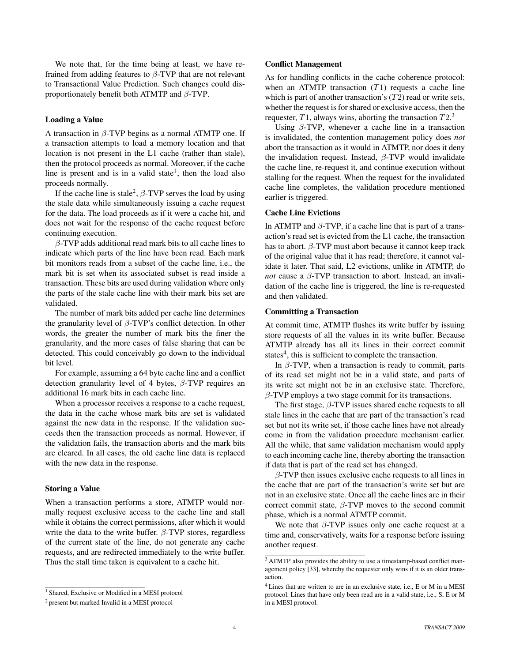We note that, for the time being at least, we have refrained from adding features to  $\beta$ -TVP that are not relevant to Transactional Value Prediction. Such changes could disproportionately benefit both ATMTP and  $\beta$ -TVP.

#### Loading a Value

A transaction in  $\beta$ -TVP begins as a normal ATMTP one. If a transaction attempts to load a memory location and that location is not present in the L1 cache (rather than stale), then the protocol proceeds as normal. Moreover, if the cache line is present and is in a valid state<sup>1</sup>, then the load also proceeds normally.

If the cache line is stale<sup>2</sup>,  $\beta$ -TVP serves the load by using the stale data while simultaneously issuing a cache request for the data. The load proceeds as if it were a cache hit, and does not wait for the response of the cache request before continuing execution.

 $\beta$ -TVP adds additional read mark bits to all cache lines to indicate which parts of the line have been read. Each mark bit monitors reads from a subset of the cache line, i.e., the mark bit is set when its associated subset is read inside a transaction. These bits are used during validation where only the parts of the stale cache line with their mark bits set are validated.

The number of mark bits added per cache line determines the granularity level of  $\beta$ -TVP's conflict detection. In other words, the greater the number of mark bits the finer the granularity, and the more cases of false sharing that can be detected. This could conceivably go down to the individual bit level.

For example, assuming a 64 byte cache line and a conflict detection granularity level of 4 bytes,  $\beta$ -TVP requires an additional 16 mark bits in each cache line.

When a processor receives a response to a cache request, the data in the cache whose mark bits are set is validated against the new data in the response. If the validation succeeds then the transaction proceeds as normal. However, if the validation fails, the transaction aborts and the mark bits are cleared. In all cases, the old cache line data is replaced with the new data in the response.

#### Storing a Value

When a transaction performs a store, ATMTP would normally request exclusive access to the cache line and stall while it obtains the correct permissions, after which it would write the data to the write buffer.  $\beta$ -TVP stores, regardless of the current state of the line, do not generate any cache requests, and are redirected immediately to the write buffer. Thus the stall time taken is equivalent to a cache hit.

#### Conflict Management

As for handling conflicts in the cache coherence protocol: when an ATMTP transaction  $(T1)$  requests a cache line which is part of another transaction's  $(T2)$  read or write sets, whether the request is for shared or exclusive access, then the requester,  $T1$ , always wins, aborting the transaction  $T2<sup>3</sup>$ 

Using  $\beta$ -TVP, whenever a cache line in a transaction is invalidated, the contention management policy does *not* abort the transaction as it would in ATMTP, nor does it deny the invalidation request. Instead,  $\beta$ -TVP would invalidate the cache line, re-request it, and continue execution without stalling for the request. When the request for the invalidated cache line completes, the validation procedure mentioned earlier is triggered.

#### Cache Line Evictions

In ATMTP and  $\beta$ -TVP, if a cache line that is part of a transaction's read set is evicted from the L1 cache, the transaction has to abort.  $β$ -TVP must abort because it cannot keep track of the original value that it has read; therefore, it cannot validate it later. That said, L2 evictions, unlike in ATMTP, do *not* cause a  $\beta$ -TVP transaction to abort. Instead, an invalidation of the cache line is triggered, the line is re-requested and then validated.

## Committing a Transaction

At commit time, ATMTP flushes its write buffer by issuing store requests of all the values in its write buffer. Because ATMTP already has all its lines in their correct commit states<sup>4</sup>, this is sufficient to complete the transaction.

In  $\beta$ -TVP, when a transaction is ready to commit, parts of its read set might not be in a valid state, and parts of its write set might not be in an exclusive state. Therefore,  $\beta$ -TVP employs a two stage commit for its transactions.

The first stage,  $\beta$ -TVP issues shared cache requests to all stale lines in the cache that are part of the transaction's read set but not its write set, if those cache lines have not already come in from the validation procedure mechanism earlier. All the while, that same validation mechanism would apply to each incoming cache line, thereby aborting the transaction if data that is part of the read set has changed.

 $\beta$ -TVP then issues exclusive cache requests to all lines in the cache that are part of the transaction's write set but are not in an exclusive state. Once all the cache lines are in their correct commit state,  $\beta$ -TVP moves to the second commit phase, which is a normal ATMTP commit.

We note that  $\beta$ -TVP issues only one cache request at a time and, conservatively, waits for a response before issuing another request.

<sup>1</sup> Shared, Exclusive or Modified in a MESI protocol

<sup>2</sup> present but marked Invalid in a MESI protocol

<sup>3</sup> ATMTP also provides the ability to use a timestamp-based conflict management policy [33], whereby the requester only wins if it is an older transaction.

<sup>&</sup>lt;sup>4</sup> Lines that are written to are in an exclusive state, i.e., E or M in a MESI protocol. Lines that have only been read are in a valid state, i.e., S, E or M in a MESI protocol.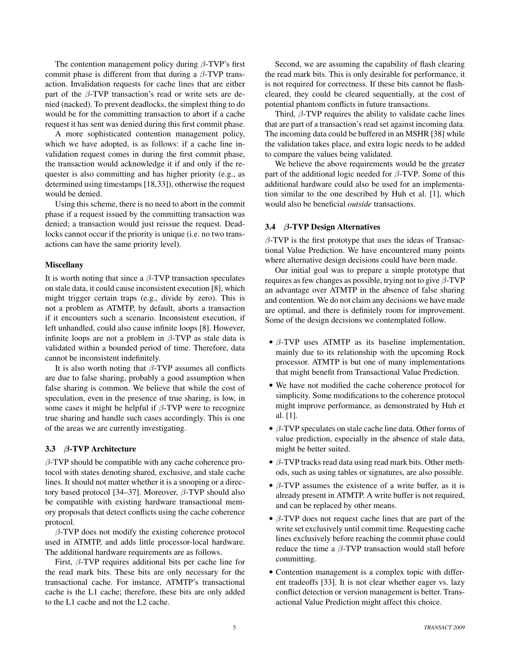The contention management policy during  $\beta$ -TVP's first commit phase is different from that during a  $\beta$ -TVP transaction. Invalidation requests for cache lines that are either part of the  $\beta$ -TVP transaction's read or write sets are denied (nacked). To prevent deadlocks, the simplest thing to do would be for the committing transaction to abort if a cache request it has sent was denied during this first commit phase.

A more sophisticated contention management policy, which we have adopted, is as follows: if a cache line invalidation request comes in during the first commit phase, the transaction would acknowledge it if and only if the requester is also committing and has higher priority (e.g., as determined using timestamps [18,33]), otherwise the request would be denied.

Using this scheme, there is no need to abort in the commit phase if a request issued by the committing transaction was denied; a transaction would just reissue the request. Deadlocks cannot occur if the priority is unique (i.e. no two transactions can have the same priority level).

#### Miscellany

It is worth noting that since a  $\beta$ -TVP transaction speculates on stale data, it could cause inconsistent execution [8], which might trigger certain traps (e.g., divide by zero). This is not a problem as ATMTP, by default, aborts a transaction if it encounters such a scenario. Inconsistent execution, if left unhandled, could also cause infinite loops [8]. However, infinite loops are not a problem in  $\beta$ -TVP as stale data is validated within a bounded period of time. Therefore, data cannot be inconsistent indefinitely.

It is also worth noting that  $\beta$ -TVP assumes all conflicts are due to false sharing, probably a good assumption when false sharing is common. We believe that while the cost of speculation, even in the presence of true sharing, is low, in some cases it might be helpful if  $\beta$ -TVP were to recognize true sharing and handle such cases accordingly. This is one of the areas we are currently investigating.

#### 3.3 β-TVP Architecture

 $\beta$ -TVP should be compatible with any cache coherence protocol with states denoting shared, exclusive, and stale cache lines. It should not matter whether it is a snooping or a directory based protocol [34–37]. Moreover,  $\beta$ -TVP should also be compatible with existing hardware transactional memory proposals that detect conflicts using the cache coherence protocol.

 $\beta$ -TVP does not modify the existing coherence protocol used in ATMTP, and adds little processor-local hardware. The additional hardware requirements are as follows.

First,  $\beta$ -TVP requires additional bits per cache line for the read mark bits. These bits are only necessary for the transactional cache. For instance, ATMTP's transactional cache is the L1 cache; therefore, these bits are only added to the L1 cache and not the L2 cache.

Second, we are assuming the capability of flash clearing the read mark bits. This is only desirable for performance, it is not required for correctness. If these bits cannot be flashcleared, they could be cleared sequentially, at the cost of potential phantom conflicts in future transactions.

Third,  $\beta$ -TVP requires the ability to validate cache lines that are part of a transaction's read set against incoming data. The incoming data could be buffered in an MSHR [38] while the validation takes place, and extra logic needs to be added to compare the values being validated.

We believe the above requirements would be the greater part of the additional logic needed for  $\beta$ -TVP. Some of this additional hardware could also be used for an implementation similar to the one described by Huh et al. [1], which would also be beneficial *outside* transactions.

## 3.4 β-TVP Design Alternatives

 $\beta$ -TVP is the first prototype that uses the ideas of Transactional Value Prediction. We have encountered many points where alternative design decisions could have been made.

Our initial goal was to prepare a simple prototype that requires as few changes as possible, trying not to give  $\beta$ -TVP an advantage over ATMTP in the absence of false sharing and contention. We do not claim any decisions we have made are optimal, and there is definitely room for improvement. Some of the design decisions we contemplated follow.

- $\bullet$   $\beta$ -TVP uses ATMTP as its baseline implementation, mainly due to its relationship with the upcoming Rock processor. ATMTP is but one of many implementations that might benefit from Transactional Value Prediction.
- We have not modified the cache coherence protocol for simplicity. Some modifications to the coherence protocol might improve performance, as demonstrated by Huh et al. [1].
- β-TVP speculates on stale cache line data. Other forms of value prediction, especially in the absence of stale data, might be better suited.
- $\bullet$   $\beta$ -TVP tracks read data using read mark bits. Other methods, such as using tables or signatures, are also possible.
- $\bullet$  β-TVP assumes the existence of a write buffer, as it is already present in ATMTP. A write buffer is not required, and can be replaced by other means.
- $\bullet$   $\beta$ -TVP does not request cache lines that are part of the write set exclusively until commit time. Requesting cache lines exclusively before reaching the commit phase could reduce the time a  $\beta$ -TVP transaction would stall before committing.
- Contention management is a complex topic with different tradeoffs [33]. It is not clear whether eager vs. lazy conflict detection or version management is better. Transactional Value Prediction might affect this choice.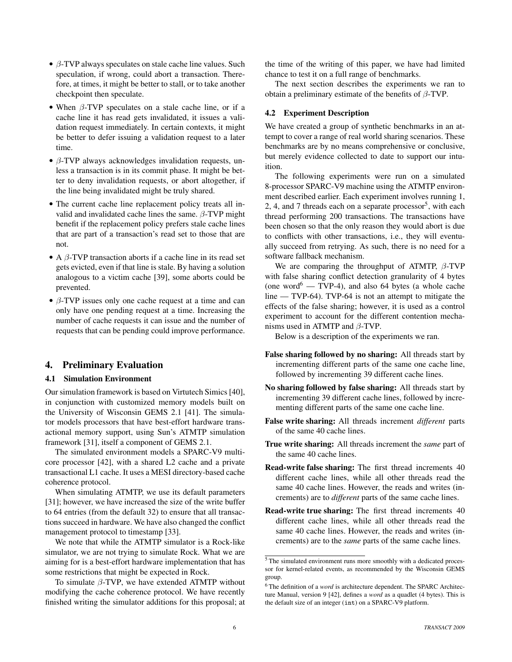- β-TVP always speculates on stale cache line values. Such speculation, if wrong, could abort a transaction. Therefore, at times, it might be better to stall, or to take another checkpoint then speculate.
- When  $\beta$ -TVP speculates on a stale cache line, or if a cache line it has read gets invalidated, it issues a validation request immediately. In certain contexts, it might be better to defer issuing a validation request to a later time.
- $\bullet$   $\beta$ -TVP always acknowledges invalidation requests, unless a transaction is in its commit phase. It might be better to deny invalidation requests, or abort altogether, if the line being invalidated might be truly shared.
- The current cache line replacement policy treats all invalid and invalidated cache lines the same.  $\beta$ -TVP might benefit if the replacement policy prefers stale cache lines that are part of a transaction's read set to those that are not.
- A  $\beta$ -TVP transaction aborts if a cache line in its read set gets evicted, even if that line is stale. By having a solution analogous to a victim cache [39], some aborts could be prevented.
- $\bullet$   $\beta$ -TVP issues only one cache request at a time and can only have one pending request at a time. Increasing the number of cache requests it can issue and the number of requests that can be pending could improve performance.

# 4. Preliminary Evaluation

### 4.1 Simulation Environment

Our simulation framework is based on Virtutech Simics [40], in conjunction with customized memory models built on the University of Wisconsin GEMS 2.1 [41]. The simulator models processors that have best-effort hardware transactional memory support, using Sun's ATMTP simulation framework [31], itself a component of GEMS 2.1.

The simulated environment models a SPARC-V9 multicore processor [42], with a shared L2 cache and a private transactional L1 cache. It uses a MESI directory-based cache coherence protocol.

When simulating ATMTP, we use its default parameters [31]; however, we have increased the size of the write buffer to 64 entries (from the default 32) to ensure that all transactions succeed in hardware. We have also changed the conflict management protocol to timestamp [33].

We note that while the ATMTP simulator is a Rock-like simulator, we are not trying to simulate Rock. What we are aiming for is a best-effort hardware implementation that has some restrictions that might be expected in Rock.

To simulate  $\beta$ -TVP, we have extended ATMTP without modifying the cache coherence protocol. We have recently finished writing the simulator additions for this proposal; at the time of the writing of this paper, we have had limited chance to test it on a full range of benchmarks.

The next section describes the experiments we ran to obtain a preliminary estimate of the benefits of  $\beta$ -TVP.

## 4.2 Experiment Description

We have created a group of synthetic benchmarks in an attempt to cover a range of real world sharing scenarios. These benchmarks are by no means comprehensive or conclusive, but merely evidence collected to date to support our intuition.

The following experiments were run on a simulated 8-processor SPARC-V9 machine using the ATMTP environment described earlier. Each experiment involves running 1, 2, 4, and 7 threads each on a separate processor<sup>5</sup>, with each thread performing 200 transactions. The transactions have been chosen so that the only reason they would abort is due to conflicts with other transactions, i.e., they will eventually succeed from retrying. As such, there is no need for a software fallback mechanism.

We are comparing the throughput of ATMTP,  $\beta$ -TVP with false sharing conflict detection granularity of 4 bytes (one word<sup>6</sup> — TVP-4), and also 64 bytes (a whole cache line — TVP-64). TVP-64 is not an attempt to mitigate the effects of the false sharing; however, it is used as a control experiment to account for the different contention mechanisms used in ATMTP and  $\beta$ -TVP.

Below is a description of the experiments we ran.

- False sharing followed by no sharing: All threads start by incrementing different parts of the same one cache line, followed by incrementing 39 different cache lines.
- No sharing followed by false sharing: All threads start by incrementing 39 different cache lines, followed by incrementing different parts of the same one cache line.
- False write sharing: All threads increment *different* parts of the same 40 cache lines.
- True write sharing: All threads increment the *same* part of the same 40 cache lines.
- Read-write false sharing: The first thread increments 40 different cache lines, while all other threads read the same 40 cache lines. However, the reads and writes (increments) are to *different* parts of the same cache lines.
- Read-write true sharing: The first thread increments 40 different cache lines, while all other threads read the same 40 cache lines. However, the reads and writes (increments) are to the *same* parts of the same cache lines.

<sup>5</sup> The simulated environment runs more smoothly with a dedicated processor for kernel-related events, as recommended by the Wisconsin GEMS group.

<sup>&</sup>lt;sup>6</sup> The definition of a *word* is architecture dependent. The SPARC Architecture Manual, version 9 [42], defines a *word* as a quadlet (4 bytes). This is the default size of an integer (int) on a SPARC-V9 platform.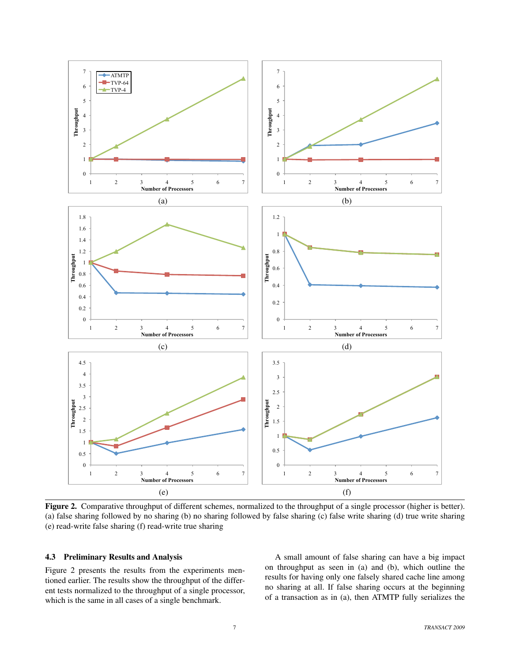

Figure 2. Comparative throughput of different schemes, normalized to the throughput of a single processor (higher is better). (a) false sharing followed by no sharing (b) no sharing followed by false sharing (c) false write sharing (d) true write sharing (e) read-write false sharing (f) read-write true sharing

# 4.3 Preliminary Results and Analysis

Figure 2 presents the results from the experiments mentioned earlier. The results show the throughput of the different tests normalized to the throughput of a single processor, which is the same in all cases of a single benchmark.

A small amount of false sharing can have a big impact on throughput as seen in (a) and (b), which outline the results for having only one falsely shared cache line among no sharing at all. If false sharing occurs at the beginning of a transaction as in (a), then ATMTP fully serializes the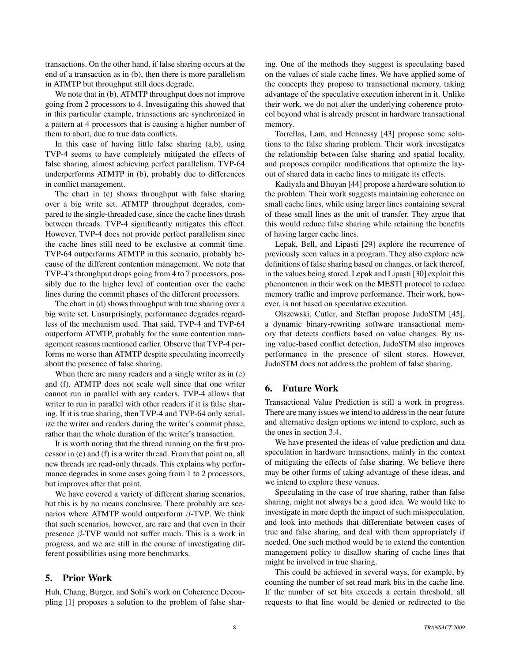transactions. On the other hand, if false sharing occurs at the end of a transaction as in (b), then there is more parallelism in ATMTP but throughput still does degrade.

We note that in (b), ATMTP throughput does not improve going from 2 processors to 4. Investigating this showed that in this particular example, transactions are synchronized in a pattern at 4 processors that is causing a higher number of them to abort, due to true data conflicts.

In this case of having little false sharing (a,b), using TVP-4 seems to have completely mitigated the effects of false sharing, almost achieving perfect parallelism. TVP-64 underperforms ATMTP in (b), probably due to differences in conflict management.

The chart in (c) shows throughput with false sharing over a big write set. ATMTP throughput degrades, compared to the single-threaded case, since the cache lines thrash between threads. TVP-4 significantly mitigates this effect. However, TVP-4 does not provide perfect parallelism since the cache lines still need to be exclusive at commit time. TVP-64 outperforms ATMTP in this scenario, probably because of the different contention management. We note that TVP-4's throughput drops going from 4 to 7 processors, possibly due to the higher level of contention over the cache lines during the commit phases of the different processors.

The chart in (d) shows throughput with true sharing over a big write set. Unsurprisingly, performance degrades regardless of the mechanism used. That said, TVP-4 and TVP-64 outperform ATMTP, probably for the same contention management reasons mentioned earlier. Observe that TVP-4 performs no worse than ATMTP despite speculating incorrectly about the presence of false sharing.

When there are many readers and a single writer as in (e) and (f), ATMTP does not scale well since that one writer cannot run in parallel with any readers. TVP-4 allows that writer to run in parallel with other readers if it is false sharing. If it is true sharing, then TVP-4 and TVP-64 only serialize the writer and readers during the writer's commit phase, rather than the whole duration of the writer's transaction.

It is worth noting that the thread running on the first processor in (e) and (f) is a writer thread. From that point on, all new threads are read-only threads. This explains why performance degrades in some cases going from 1 to 2 processors, but improves after that point.

We have covered a variety of different sharing scenarios, but this is by no means conclusive. There probably are scenarios where ATMTP would outperform  $\beta$ -TVP. We think that such scenarios, however, are rare and that even in their presence  $\beta$ -TVP would not suffer much. This is a work in progress, and we are still in the course of investigating different possibilities using more benchmarks.

# 5. Prior Work

Huh, Chang, Burger, and Sohi's work on Coherence Decoupling [1] proposes a solution to the problem of false sharing. One of the methods they suggest is speculating based on the values of stale cache lines. We have applied some of the concepts they propose to transactional memory, taking advantage of the speculative execution inherent in it. Unlike their work, we do not alter the underlying coherence protocol beyond what is already present in hardware transactional memory.

Torrellas, Lam, and Hennessy [43] propose some solutions to the false sharing problem. Their work investigates the relationship between false sharing and spatial locality, and proposes compiler modifications that optimize the layout of shared data in cache lines to mitigate its effects.

Kadiyala and Bhuyan [44] propose a hardware solution to the problem. Their work suggests maintaining coherence on small cache lines, while using larger lines containing several of these small lines as the unit of transfer. They argue that this would reduce false sharing while retaining the benefits of having larger cache lines.

Lepak, Bell, and Lipasti [29] explore the recurrence of previously seen values in a program. They also explore new definitions of false sharing based on changes, or lack thereof, in the values being stored. Lepak and Lipasti [30] exploit this phenomenon in their work on the MESTI protocol to reduce memory traffic and improve performance. Their work, however, is not based on speculative execution.

Olszewski, Cutler, and Steffan propose JudoSTM [45], a dynamic binary-rewriting software transactional memory that detects conflicts based on value changes. By using value-based conflict detection, JudoSTM also improves performance in the presence of silent stores. However, JudoSTM does not address the problem of false sharing.

# 6. Future Work

Transactional Value Prediction is still a work in progress. There are many issues we intend to address in the near future and alternative design options we intend to explore, such as the ones in section 3.4.

We have presented the ideas of value prediction and data speculation in hardware transactions, mainly in the context of mitigating the effects of false sharing. We believe there may be other forms of taking advantage of these ideas, and we intend to explore these venues.

Speculating in the case of true sharing, rather than false sharing, might not always be a good idea. We would like to investigate in more depth the impact of such misspeculation, and look into methods that differentiate between cases of true and false sharing, and deal with them appropriately if needed. One such method would be to extend the contention management policy to disallow sharing of cache lines that might be involved in true sharing.

This could be achieved in several ways, for example, by counting the number of set read mark bits in the cache line. If the number of set bits exceeds a certain threshold, all requests to that line would be denied or redirected to the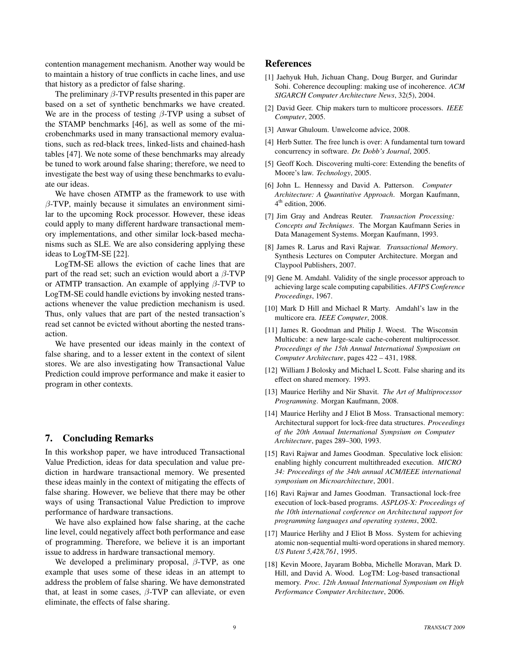contention management mechanism. Another way would be to maintain a history of true conflicts in cache lines, and use that history as a predictor of false sharing.

The preliminary  $\beta$ -TVP results presented in this paper are based on a set of synthetic benchmarks we have created. We are in the process of testing  $\beta$ -TVP using a subset of the STAMP benchmarks [46], as well as some of the microbenchmarks used in many transactional memory evaluations, such as red-black trees, linked-lists and chained-hash tables [47]. We note some of these benchmarks may already be tuned to work around false sharing; therefore, we need to investigate the best way of using these benchmarks to evaluate our ideas.

We have chosen ATMTP as the framework to use with  $\beta$ -TVP, mainly because it simulates an environment similar to the upcoming Rock processor. However, these ideas could apply to many different hardware transactional memory implementations, and other similar lock-based mechanisms such as SLE. We are also considering applying these ideas to LogTM-SE [22].

LogTM-SE allows the eviction of cache lines that are part of the read set; such an eviction would abort a  $\beta$ -TVP or ATMTP transaction. An example of applying  $\beta$ -TVP to LogTM-SE could handle evictions by invoking nested transactions whenever the value prediction mechanism is used. Thus, only values that are part of the nested transaction's read set cannot be evicted without aborting the nested transaction.

We have presented our ideas mainly in the context of false sharing, and to a lesser extent in the context of silent stores. We are also investigating how Transactional Value Prediction could improve performance and make it easier to program in other contexts.

## 7. Concluding Remarks

In this workshop paper, we have introduced Transactional Value Prediction, ideas for data speculation and value prediction in hardware transactional memory. We presented these ideas mainly in the context of mitigating the effects of false sharing. However, we believe that there may be other ways of using Transactional Value Prediction to improve performance of hardware transactions.

We have also explained how false sharing, at the cache line level, could negatively affect both performance and ease of programming. Therefore, we believe it is an important issue to address in hardware transactional memory.

We developed a preliminary proposal,  $\beta$ -TVP, as one example that uses some of these ideas in an attempt to address the problem of false sharing. We have demonstrated that, at least in some cases,  $\beta$ -TVP can alleviate, or even eliminate, the effects of false sharing.

# References

- [1] Jaehyuk Huh, Jichuan Chang, Doug Burger, and Gurindar Sohi. Coherence decoupling: making use of incoherence. *ACM SIGARCH Computer Architecture News*, 32(5), 2004.
- [2] David Geer. Chip makers turn to multicore processors. *IEEE Computer*, 2005.
- [3] Anwar Ghuloum. Unwelcome advice, 2008.
- [4] Herb Sutter. The free lunch is over: A fundamental turn toward concurrency in software. *Dr. Dobb's Journal*, 2005.
- [5] Geoff Koch. Discovering multi-core: Extending the benefits of Moore's law. *Technology*, 2005.
- [6] John L. Hennessy and David A. Patterson. *Computer Architecture: A Quantitative Approach*. Morgan Kaufmann, 4<sup>th</sup> edition, 2006.
- [7] Jim Gray and Andreas Reuter. *Transaction Processing: Concepts and Techniques*. The Morgan Kaufmann Series in Data Management Systems. Morgan Kaufmann, 1993.
- [8] James R. Larus and Ravi Rajwar. *Transactional Memory*. Synthesis Lectures on Computer Architecture. Morgan and Claypool Publishers, 2007.
- [9] Gene M. Amdahl. Validity of the single processor approach to achieving large scale computing capabilities. *AFIPS Conference Proceedings*, 1967.
- [10] Mark D Hill and Michael R Marty. Amdahl's law in the multicore era. *IEEE Computer*, 2008.
- [11] James R. Goodman and Philip J. Woest. The Wisconsin Multicube: a new large-scale cache-coherent multiprocessor. *Proceedings of the 15th Annual International Symposium on Computer Architecture*, pages 422 – 431, 1988.
- [12] William J Bolosky and Michael L Scott. False sharing and its effect on shared memory. 1993.
- [13] Maurice Herlihy and Nir Shavit. *The Art of Multiprocessor Programming*. Morgan Kaufmann, 2008.
- [14] Maurice Herlihy and J Eliot B Moss. Transactional memory: Architectural support for lock-free data structures. *Proceedings of the 20th Annual International Sympsium on Computer Architecture*, pages 289–300, 1993.
- [15] Ravi Rajwar and James Goodman. Speculative lock elision: enabling highly concurrent multithreaded execution. *MICRO 34: Proceedings of the 34th annual ACM/IEEE international symposium on Microarchitecture*, 2001.
- [16] Ravi Rajwar and James Goodman. Transactional lock-free execution of lock-based programs. *ASPLOS-X: Proceedings of the 10th international conference on Architectural support for programming languages and operating systems*, 2002.
- [17] Maurice Herlihy and J Eliot B Moss. System for achieving atomic non-sequential multi-word operations in shared memory. *US Patent 5,428,761*, 1995.
- [18] Kevin Moore, Jayaram Bobba, Michelle Moravan, Mark D. Hill, and David A. Wood. LogTM: Log-based transactional memory. *Proc. 12th Annual International Symposium on High Performance Computer Architecture*, 2006.